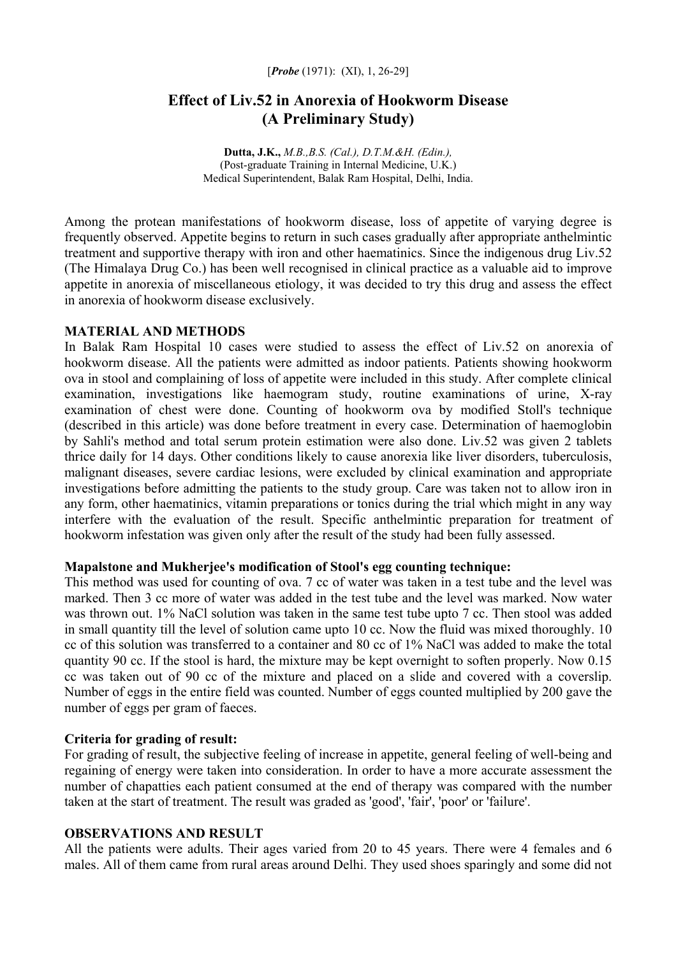#### [*Probe* (1971): (XI), 1, 26-29]

# **Effect of Liv.52 in Anorexia of Hookworm Disease (A Preliminary Study)**

**Dutta, J.K.,** *M.B.,B.S. (Cal.), D.T.M.&H. (Edin.),* (Post-graduate Training in Internal Medicine, U.K.) Medical Superintendent, Balak Ram Hospital, Delhi, India.

Among the protean manifestations of hookworm disease, loss of appetite of varying degree is frequently observed. Appetite begins to return in such cases gradually after appropriate anthelmintic treatment and supportive therapy with iron and other haematinics. Since the indigenous drug Liv.52 (The Himalaya Drug Co.) has been well recognised in clinical practice as a valuable aid to improve appetite in anorexia of miscellaneous etiology, it was decided to try this drug and assess the effect in anorexia of hookworm disease exclusively.

### **MATERIAL AND METHODS**

In Balak Ram Hospital 10 cases were studied to assess the effect of Liv.52 on anorexia of hookworm disease. All the patients were admitted as indoor patients. Patients showing hookworm ova in stool and complaining of loss of appetite were included in this study. After complete clinical examination, investigations like haemogram study, routine examinations of urine, X-ray examination of chest were done. Counting of hookworm ova by modified Stoll's technique (described in this article) was done before treatment in every case. Determination of haemoglobin by Sahli's method and total serum protein estimation were also done. Liv.52 was given 2 tablets thrice daily for 14 days. Other conditions likely to cause anorexia like liver disorders, tuberculosis, malignant diseases, severe cardiac lesions, were excluded by clinical examination and appropriate investigations before admitting the patients to the study group. Care was taken not to allow iron in any form, other haematinics, vitamin preparations or tonics during the trial which might in any way interfere with the evaluation of the result. Specific anthelmintic preparation for treatment of hookworm infestation was given only after the result of the study had been fully assessed.

### **Mapalstone and Mukherjee's modification of Stool's egg counting technique:**

This method was used for counting of ova. 7 cc of water was taken in a test tube and the level was marked. Then 3 cc more of water was added in the test tube and the level was marked. Now water was thrown out. 1% NaCl solution was taken in the same test tube upto 7 cc. Then stool was added in small quantity till the level of solution came upto 10 cc. Now the fluid was mixed thoroughly. 10 cc of this solution was transferred to a container and 80 cc of 1% NaCl was added to make the total quantity 90 cc. If the stool is hard, the mixture may be kept overnight to soften properly. Now 0.15 cc was taken out of 90 cc of the mixture and placed on a slide and covered with a coverslip. Number of eggs in the entire field was counted. Number of eggs counted multiplied by 200 gave the number of eggs per gram of faeces.

### **Criteria for grading of result:**

For grading of result, the subjective feeling of increase in appetite, general feeling of well-being and regaining of energy were taken into consideration. In order to have a more accurate assessment the number of chapatties each patient consumed at the end of therapy was compared with the number taken at the start of treatment. The result was graded as 'good', 'fair', 'poor' or 'failure'.

### **OBSERVATIONS AND RESULT**

All the patients were adults. Their ages varied from 20 to 45 years. There were 4 females and 6 males. All of them came from rural areas around Delhi. They used shoes sparingly and some did not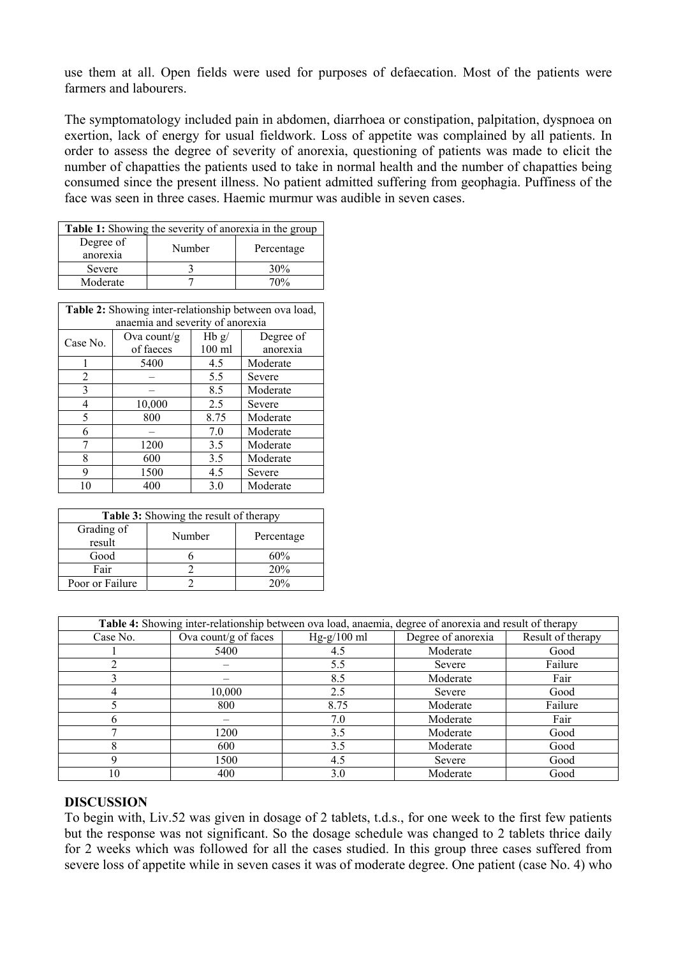use them at all. Open fields were used for purposes of defaecation. Most of the patients were farmers and labourers.

The symptomatology included pain in abdomen, diarrhoea or constipation, palpitation, dyspnoea on exertion, lack of energy for usual fieldwork. Loss of appetite was complained by all patients. In order to assess the degree of severity of anorexia, questioning of patients was made to elicit the number of chapatties the patients used to take in normal health and the number of chapatties being consumed since the present illness. No patient admitted suffering from geophagia. Puffiness of the face was seen in three cases. Haemic murmur was audible in seven cases.

| <b>Table 1:</b> Showing the severity of anorexia in the group |        |            |  |  |  |
|---------------------------------------------------------------|--------|------------|--|--|--|
| Degree of<br>anorexia                                         | Number | Percentage |  |  |  |
| Severe                                                        |        | 30%        |  |  |  |
| Moderate                                                      |        | 70%        |  |  |  |

| Table 2: Showing inter-relationship between ova load, |             |          |           |  |  |  |  |
|-------------------------------------------------------|-------------|----------|-----------|--|--|--|--|
| anaemia and severity of anorexia                      |             |          |           |  |  |  |  |
| Case No.                                              | Ova count/g | Hb g/    | Degree of |  |  |  |  |
|                                                       | of faeces   | $100$ ml | anorexia  |  |  |  |  |
|                                                       | 5400        | 4.5      | Moderate  |  |  |  |  |
| $\mathfrak{D}$                                        |             | 5.5      | Severe    |  |  |  |  |
| 3                                                     |             | 8.5      | Moderate  |  |  |  |  |
| 4                                                     | 10,000      | 2.5      | Severe    |  |  |  |  |
| 5                                                     | 800         | 8.75     | Moderate  |  |  |  |  |
| 6                                                     |             | 7.0      | Moderate  |  |  |  |  |
|                                                       | 1200        | 3.5      | Moderate  |  |  |  |  |
| 8                                                     | 600         | 3.5      | Moderate  |  |  |  |  |
| 9                                                     | 1500        | 4.5      | Severe    |  |  |  |  |
| 10                                                    | 400         | 3.0      | Moderate  |  |  |  |  |

| <b>Table 3:</b> Showing the result of therapy |        |            |  |  |  |
|-----------------------------------------------|--------|------------|--|--|--|
| Grading of<br>result                          | Number | Percentage |  |  |  |
| Good                                          |        | 60%        |  |  |  |
| Fair                                          |        | 20%        |  |  |  |
| Poor or Failure                               |        | 20%        |  |  |  |

| Table 4: Showing inter-relationship between ova load, anaemia, degree of anorexia and result of therapy |                      |               |                    |                   |  |  |
|---------------------------------------------------------------------------------------------------------|----------------------|---------------|--------------------|-------------------|--|--|
| Case No.                                                                                                | Ova count/g of faces | $Hg-g/100$ ml | Degree of anorexia | Result of therapy |  |  |
|                                                                                                         | 5400                 | 4.5           | Moderate           | Good              |  |  |
|                                                                                                         |                      | 5.5           | Severe             | Failure           |  |  |
|                                                                                                         |                      | 8.5           | Moderate           | Fair              |  |  |
|                                                                                                         | 10,000               | 2.5           | Severe             | Good              |  |  |
|                                                                                                         | 800                  | 8.75          | Moderate           | Failure           |  |  |
|                                                                                                         |                      | 7.0           | Moderate           | Fair              |  |  |
|                                                                                                         | 1200                 | 3.5           | Moderate           | Good              |  |  |
|                                                                                                         | 600                  | 3.5           | Moderate           | Good              |  |  |
|                                                                                                         | 1500                 | 4.5           | Severe             | Good              |  |  |
| 10                                                                                                      | 400                  | 3.0           | Moderate           | Good              |  |  |

# **DISCUSSION**

To begin with, Liv.52 was given in dosage of 2 tablets, t.d.s., for one week to the first few patients but the response was not significant. So the dosage schedule was changed to 2 tablets thrice daily for 2 weeks which was followed for all the cases studied. In this group three cases suffered from severe loss of appetite while in seven cases it was of moderate degree. One patient (case No. 4) who